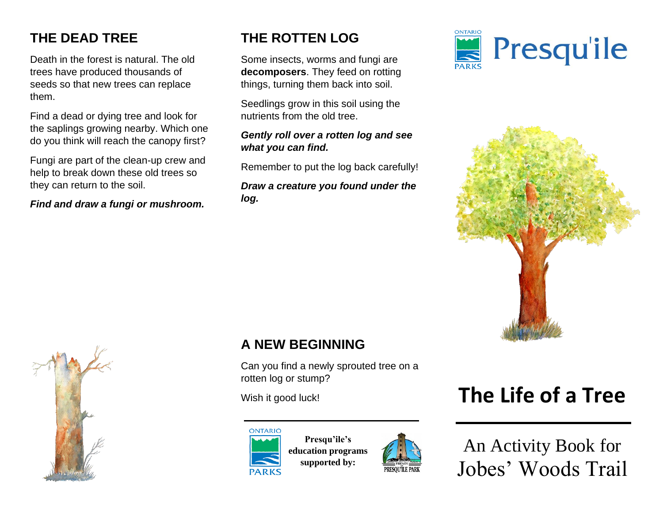# **THE DEAD TREE**

Death in the forest is natural. The old trees have produced thousands of seeds so that new trees can replace them.

Find a dead or dying tree and look for the saplings growing nearby. Which one do you think will reach the canopy first?

Fungi are part of the clean-up crew and help to break down these old trees so they can return to the soil.

*Find and draw a fungi or mushroom.*

## **THE ROTTEN LOG**

Some insects, worms and fungi are **decomposers**. They feed on rotting things, turning them back into soil.

Seedlings grow in this soil using the nutrients from the old tree.

#### *Gently roll over a rotten log and see what you can find.*

Remember to put the log back carefully!

*Draw a creature you found under the log.*







### **A NEW BEGINNING**

Can you find a newly sprouted tree on a rotten log or stump?



**Presqu'ile's education programs supported by:**



# Wish it good luck! **The Life of a Tree**

An Activity Book for Jobes' Woods Trail